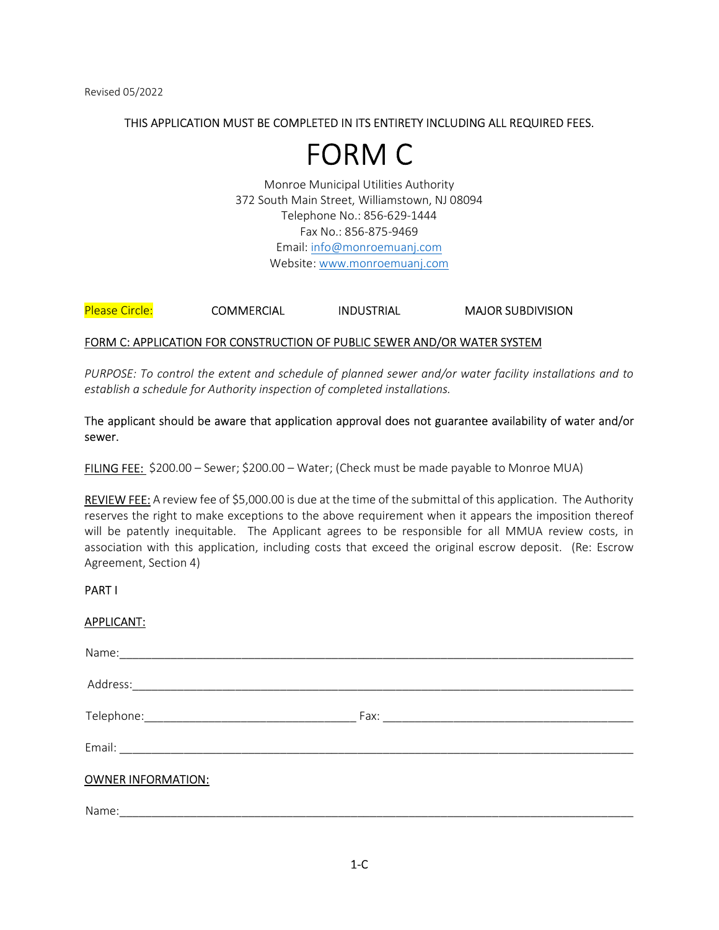# THIS APPLICATION MUST BE COMPLETED IN ITS ENTIRETY INCLUDING ALL REQUIRED FEES.

# FORM C

Monroe Municipal Utilities Authority 372 South Main Street, Williamstown, NJ 08094 Telephone No.: 856-629-1444 Fax No.: 856-875-9469 Email: info@monroemuanj.com Website: www.monroemuanj.com

# Please Circle: COMMERCIAL INDUSTRIAL MAJOR SUBDIVISION

# FORM C: APPLICATION FOR CONSTRUCTION OF PUBLIC SEWER AND/OR WATER SYSTEM

PURPOSE: To control the extent and schedule of planned sewer and/or water facility installations and to establish a schedule for Authority inspection of completed installations.

# The applicant should be aware that application approval does not guarantee availability of water and/or sewer.

FILING FEE: \$200.00 – Sewer; \$200.00 – Water; (Check must be made payable to Monroe MUA)

REVIEW FEE: A review fee of \$5,000.00 is due at the time of the submittal of this application. The Authority reserves the right to make exceptions to the above requirement when it appears the imposition thereof will be patently inequitable. The Applicant agrees to be responsible for all MMUA review costs, in association with this application, including costs that exceed the original escrow deposit. (Re: Escrow Agreement, Section 4)

## PART I

## APPLICANT:

| <b>OWNER INFORMATION:</b> |  |
|---------------------------|--|
|                           |  |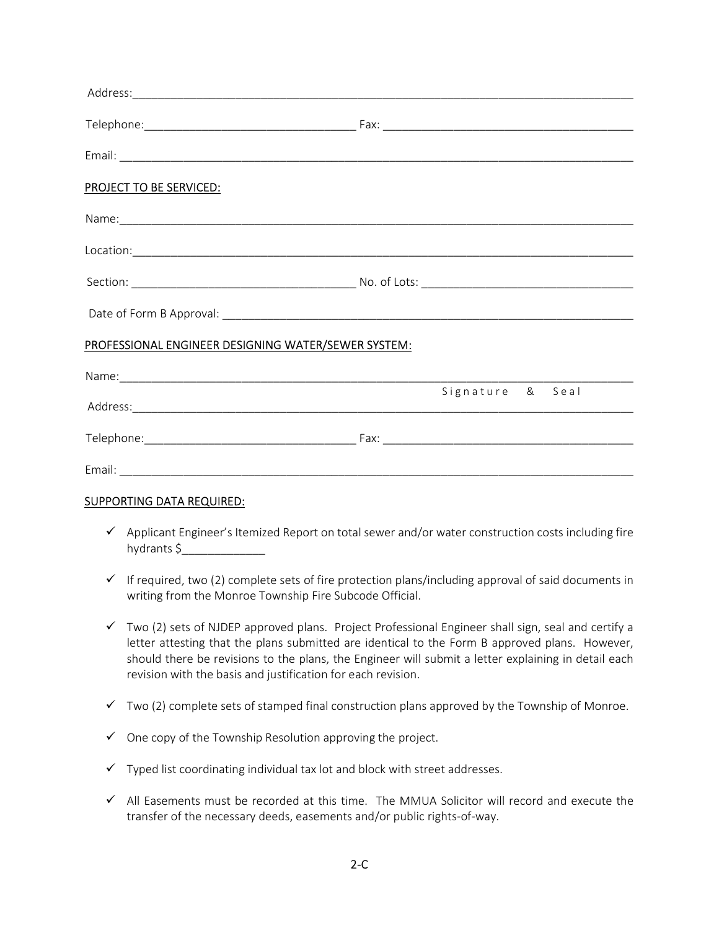| <b>PROJECT TO BE SERVICED:</b>                      |                  |
|-----------------------------------------------------|------------------|
|                                                     |                  |
|                                                     |                  |
|                                                     |                  |
|                                                     |                  |
| PROFESSIONAL ENGINEER DESIGNING WATER/SEWER SYSTEM: |                  |
|                                                     |                  |
|                                                     | Signature & Seal |
|                                                     |                  |
|                                                     |                  |

# SUPPORTING DATA REQUIRED:

- $\checkmark$  Applicant Engineer's Itemized Report on total sewer and/or water construction costs including fire hydrants \$\_\_\_\_\_\_\_\_\_\_\_\_\_
- $\checkmark$  If required, two (2) complete sets of fire protection plans/including approval of said documents in writing from the Monroe Township Fire Subcode Official.
- $\checkmark$  Two (2) sets of NJDEP approved plans. Project Professional Engineer shall sign, seal and certify a letter attesting that the plans submitted are identical to the Form B approved plans. However, should there be revisions to the plans, the Engineer will submit a letter explaining in detail each revision with the basis and justification for each revision.
- $\checkmark$  Two (2) complete sets of stamped final construction plans approved by the Township of Monroe.
- $\checkmark$  One copy of the Township Resolution approving the project.
- $\checkmark$  Typed list coordinating individual tax lot and block with street addresses.
- $\checkmark$  All Easements must be recorded at this time. The MMUA Solicitor will record and execute the transfer of the necessary deeds, easements and/or public rights-of-way.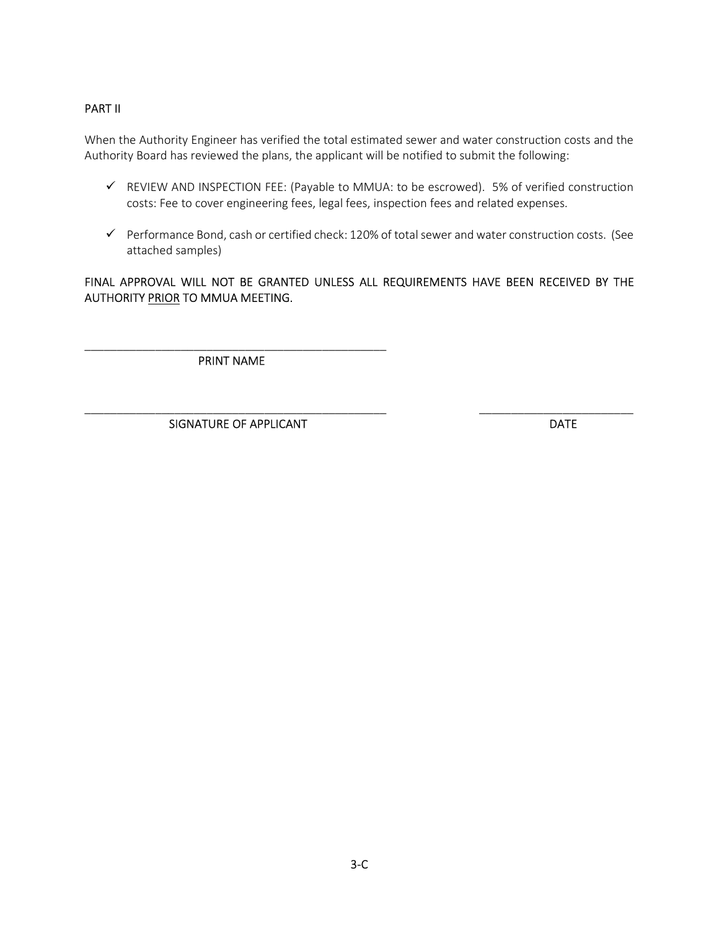# PART II

When the Authority Engineer has verified the total estimated sewer and water construction costs and the Authority Board has reviewed the plans, the applicant will be notified to submit the following:

- REVIEW AND INSPECTION FEE: (Payable to MMUA: to be escrowed). 5% of verified construction costs: Fee to cover engineering fees, legal fees, inspection fees and related expenses.
- $\checkmark$  Performance Bond, cash or certified check: 120% of total sewer and water construction costs. (See attached samples)

# FINAL APPROVAL WILL NOT BE GRANTED UNLESS ALL REQUIREMENTS HAVE BEEN RECEIVED BY THE AUTHORITY PRIOR TO MMUA MEETING.

\_\_\_\_\_\_\_\_\_\_\_\_\_\_\_\_\_\_\_\_\_\_\_\_\_\_\_\_\_\_\_\_\_\_\_\_\_\_\_\_\_\_\_\_\_\_\_ \_\_\_\_\_\_\_\_\_\_\_\_\_\_\_\_\_\_\_\_\_\_\_\_

\_\_\_\_\_\_\_\_\_\_\_\_\_\_\_\_\_\_\_\_\_\_\_\_\_\_\_\_\_\_\_\_\_\_\_\_\_\_\_\_\_\_\_\_\_\_\_ PRINT NAME

SIGNATURE OF APPLICANT DATE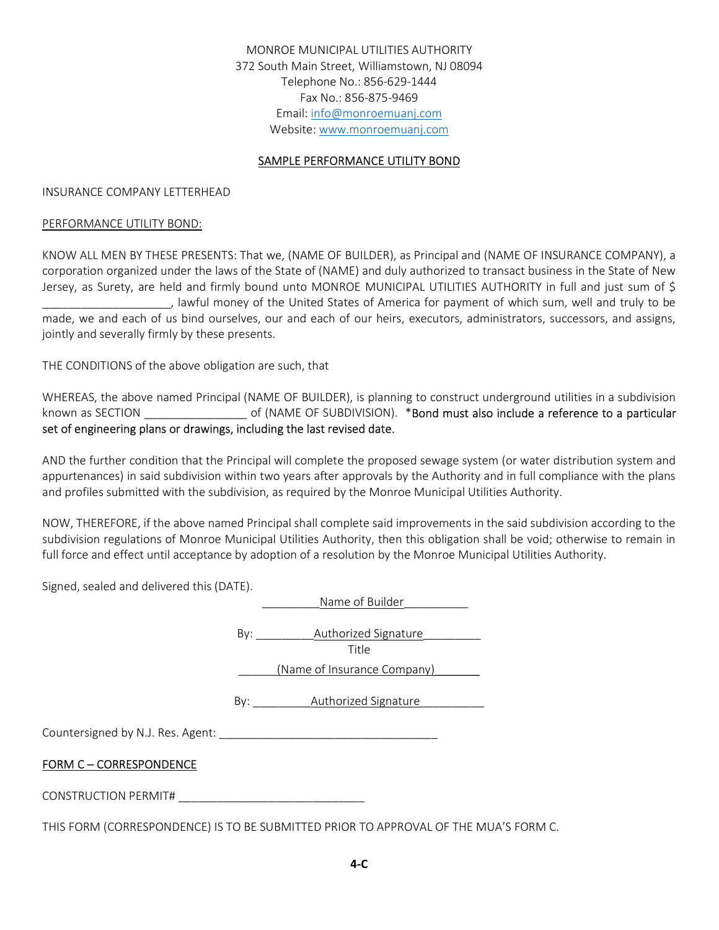MONROE MUNICIPAL UTILITIES AUTHORITY 372 South Main Street, Williamstown, NJ 08094 Telephone No.: 856-629-1444 Fax No.: 856-875-9469 Email: info@monroemuanj.com Website: www.monroemuanj.com

# SAMPLE PERFORMANCE UTILITY BOND

#### INSURANCE COMPANY LETTERHEAD

#### PERFORMANCE UTILITY BOND:

KNOW ALL MEN BY THESE PRESENTS: That we, (NAME OF BUILDER), as Principal and (NAME OF INSURANCE COMPANY), a corporation organized under the laws of the State of (NAME) and duly authorized to transact business in the State of New Jersey, as Surety, are held and firmly bound unto MONROE MUNICIPAL UTILITIES AUTHORITY in full and just sum of \$ \_\_\_\_\_\_\_\_\_\_\_\_\_\_\_\_\_\_\_\_, lawful money of the United States of America for payment of which sum, well and truly to be made, we and each of us bind ourselves, our and each of our heirs, executors, administrators, successors, and assigns, jointly and severally firmly by these presents.

THE CONDITIONS of the above obligation are such, that

WHEREAS, the above named Principal (NAME OF BUILDER), is planning to construct underground utilities in a subdivision known as SECTION \_\_\_\_\_\_\_\_\_\_\_\_\_\_\_\_\_\_\_\_ of (NAME OF SUBDIVISION). \*Bond must also include a reference to a particular set of engineering plans or drawings, including the last revised date.

AND the further condition that the Principal will complete the proposed sewage system (or water distribution system and appurtenances) in said subdivision within two years after approvals by the Authority and in full compliance with the plans and profiles submitted with the subdivision, as required by the Monroe Municipal Utilities Authority.

NOW, THEREFORE, if the above named Principal shall complete said improvements in the said subdivision according to the subdivision regulations of Monroe Municipal Utilities Authority, then this obligation shall be void; otherwise to remain in full force and effect until acceptance by adoption of a resolution by the Monroe Municipal Utilities Authority.

Signed, sealed and delivered this (DATE).

|                              | Name of Builder                          |
|------------------------------|------------------------------------------|
|                              | By: <b>Authorized Signature</b><br>Title |
|                              | (Name of Insurance Company)              |
|                              | By: Authorized Signature                 |
|                              |                                          |
| <b>FORM C-CORRESPONDENCE</b> |                                          |
| CONSTRUCTION PERMIT#         |                                          |

THIS FORM (CORRESPONDENCE) IS TO BE SUBMITTED PRIOR TO APPROVAL OF THE MUA'S FORM C.